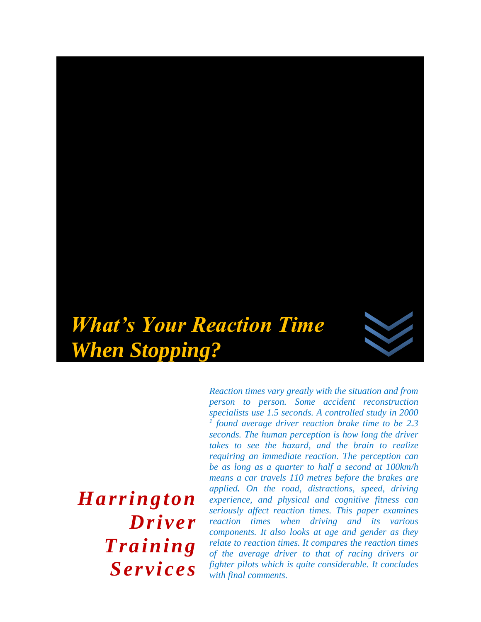

*Harrington Driver Training Services*

*Reaction times vary greatly with the situation and from person to person. Some accident reconstruction specialists use 1.5 seconds. A controlled study in 2000 1 found average driver reaction brake time to be 2.3 seconds. The human perception is how long the driver takes to see the hazard, and the brain to realize requiring an immediate reaction. The perception can be as long as a quarter to half a second at 100km/h means a car travels 110 metres before the brakes are applied. On the road, distractions, speed, driving experience, and physical and cognitive fitness can seriously affect reaction times. This paper examines reaction times when driving and its various components. It also looks at age and gender as they relate to reaction times. It compares the reaction times of the average driver to that of racing drivers or fighter pilots which is quite considerable. It concludes with final comments.*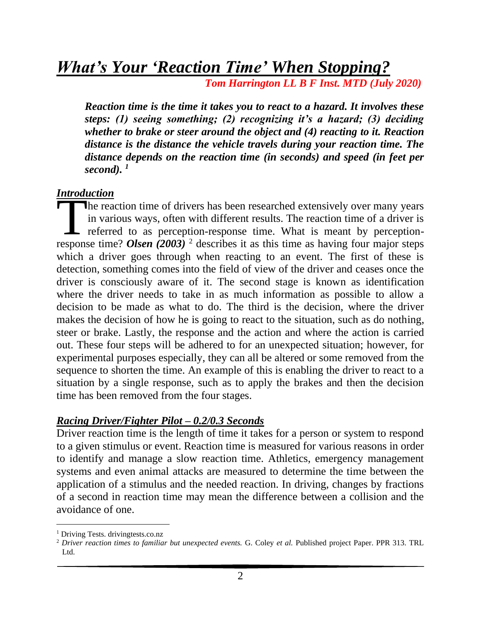# *What's Your 'Reaction Time' When Stopping?*

 *Tom Harrington LL B F Inst. MTD (July 2020)* 

*Reaction time is the time it takes you to react to a hazard. It involves these steps: (1) seeing something; (2) recognizing it's a hazard; (3) deciding whether to brake or steer around the object and (4) reacting to it. Reaction distance is the distance the vehicle travels during your reaction time. The distance depends on the reaction time (in seconds) and speed (in feet per second). <sup>1</sup>*

#### *Introduction*

he reaction time of drivers has been researched extensively over many years in various ways, often with different results. The reaction time of a driver is referred to as perception-response time. What is meant by perception-The reaction time of drivers has been researched extensively over many years<br>in various ways, often with different results. The reaction time of a driver is<br>referred to as perception-response time. What is meant by percept which a driver goes through when reacting to an event. The first of these is detection, something comes into the field of view of the driver and ceases once the driver is consciously aware of it. The second stage is known as identification where the driver needs to take in as much information as possible to allow a decision to be made as what to do. The third is the decision, where the driver makes the decision of how he is going to react to the situation, such as do nothing, steer or brake. Lastly, the response and the action and where the action is carried out. These four steps will be adhered to for an unexpected situation; however, for experimental purposes especially, they can all be altered or some removed from the sequence to shorten the time. An example of this is enabling the driver to react to a situation by a single response, such as to apply the brakes and then the decision time has been removed from the four stages.

#### *Racing Driver/Fighter Pilot – 0.2/0.3 Seconds*

Driver reaction time is the length of time it takes for a person or system to respond to a given stimulus or event. Reaction time is measured for various reasons in order to identify and manage a slow reaction time. Athletics, emergency management systems and even animal attacks are measured to determine the time between the application of a stimulus and the needed reaction. In driving, changes by fractions of a second in reaction time may mean the difference between a collision and the avoidance of one.

<sup>&</sup>lt;sup>1</sup> Driving Tests. drivingtests.co.nz

<sup>2</sup> *Driver reaction times to familiar but unexpected events.* G. Coley *et al.* Published project Paper. PPR 313. TRL Ltd.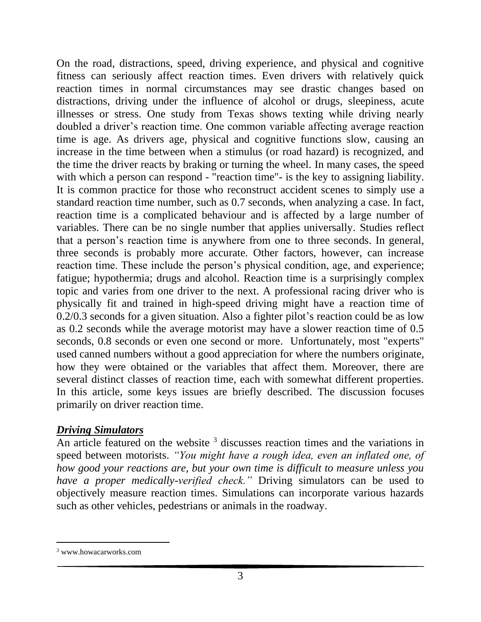On the road, distractions, speed, driving experience, and physical and cognitive fitness can seriously affect reaction times. Even drivers with relatively quick reaction times in normal circumstances may see drastic changes based on distractions, driving under the influence of alcohol or drugs, sleepiness, acute illnesses or stress. One study from Texas shows texting while driving nearly doubled a driver's reaction time. One common variable affecting average reaction time is age. As drivers age, physical and cognitive functions slow, causing an increase in the time between when a stimulus (or road hazard) is recognized, and the time the driver reacts by braking or turning the wheel. In many cases, the speed with which a person can respond - "reaction time"- is the key to assigning liability. It is common practice for those who reconstruct accident scenes to simply use a standard reaction time number, such as 0.7 seconds, when analyzing a case. In fact, reaction time is a complicated behaviour and is affected by a large number of variables. There can be no single number that applies universally. Studies reflect that a person's reaction time is anywhere from one to three seconds. In general, three seconds is probably more accurate. Other factors, however, can increase reaction time. These include the person's physical condition, age, and experience; fatigue; hypothermia; drugs and alcohol. Reaction time is a surprisingly complex topic and varies from one driver to the next. A professional racing driver who is physically fit and trained in high-speed driving might have a reaction time of 0.2/0.3 seconds for a given situation. Also a fighter pilot's reaction could be as low as 0.2 seconds while the average motorist may have a slower reaction time of 0.5 seconds, 0.8 seconds or even one second or more. Unfortunately, most "experts" used canned numbers without a good appreciation for where the numbers originate, how they were obtained or the variables that affect them. Moreover, there are several distinct classes of reaction time, each with somewhat different properties. In this article, some keys issues are briefly described. The discussion focuses primarily on driver reaction time.

#### *Driving Simulators*

An article featured on the website <sup>3</sup> discusses reaction times and the variations in speed between motorists. *"You might have a rough idea, even an inflated one, of how good your reactions are, but your own time is difficult to measure unless you have a proper medically-verified check."* Driving simulators can be used to objectively measure reaction times. Simulations can incorporate various hazards such as other vehicles, pedestrians or animals in the roadway.

<sup>3</sup> www.howacarworks.com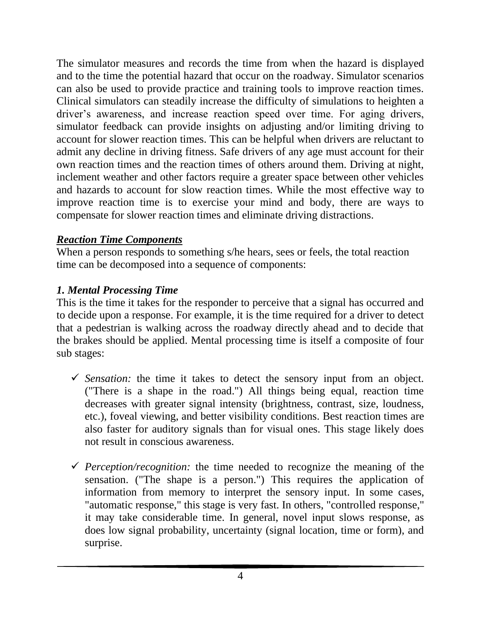The simulator measures and records the time from when the hazard is displayed and to the time the potential hazard that occur on the roadway. Simulator scenarios can also be used to provide practice and training tools to improve reaction times. Clinical simulators can steadily increase the difficulty of simulations to heighten a driver's awareness, and increase reaction speed over time. For aging drivers, simulator feedback can provide insights on adjusting and/or limiting driving to account for slower reaction times. This can be helpful when drivers are reluctant to admit any decline in driving fitness. Safe drivers of any age must account for their own reaction times and the reaction times of others around them. Driving at night, inclement weather and other factors require a greater space between other vehicles and hazards to account for slow reaction times. While the most effective way to improve reaction time is to exercise your mind and body, there are ways to compensate for slower reaction times and eliminate driving distractions.

# *Reaction Time Components*

When a person responds to something s/he hears, sees or feels, the total reaction time can be decomposed into a sequence of components:

# *1. Mental Processing Time*

This is the time it takes for the responder to perceive that a signal has occurred and to decide upon a response. For example, it is the time required for a driver to detect that a pedestrian is walking across the roadway directly ahead and to decide that the brakes should be applied. Mental processing time is itself a composite of four sub stages:

- ✓ *Sensation:* the time it takes to detect the sensory input from an object. ("There is a shape in the road.") All things being equal, reaction time decreases with greater signal intensity (brightness, contrast, size, loudness, etc.), foveal viewing, and better visibility conditions. Best reaction times are also faster for auditory signals than for visual ones. This stage likely does not result in conscious awareness.
- ✓ *Perception/recognition:* the time needed to recognize the meaning of the sensation. ("The shape is a person.") This requires the application of information from memory to interpret the sensory input. In some cases, "automatic response," this stage is very fast. In others, "controlled response," it may take considerable time. In general, novel input slows response, as does low signal probability, uncertainty (signal location, time or form), and surprise.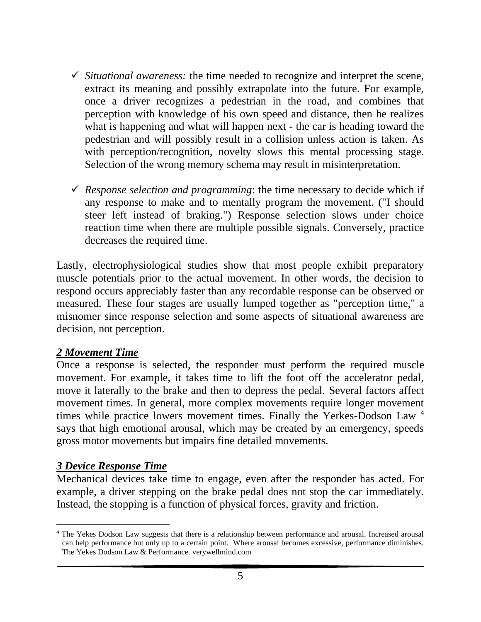- ✓ *Situational awareness:* the time needed to recognize and interpret the scene, extract its meaning and possibly extrapolate into the future. For example, once a driver recognizes a pedestrian in the road, and combines that perception with knowledge of his own speed and distance, then he realizes what is happening and what will happen next - the car is heading toward the pedestrian and will possibly result in a collision unless action is taken. As with perception/recognition, novelty slows this mental processing stage. Selection of the wrong memory schema may result in misinterpretation.
- ✓ *Response selection and programming*: the time necessary to decide which if any response to make and to mentally program the movement. ("I should steer left instead of braking.") Response selection slows under choice reaction time when there are multiple possible signals. Conversely, practice decreases the required time.

Lastly, electrophysiological studies show that most people exhibit preparatory muscle potentials prior to the actual movement. In other words, the decision to respond occurs appreciably faster than any recordable response can be observed or measured. These four stages are usually lumped together as "perception time," a misnomer since response selection and some aspects of situational awareness are decision, not perception.

#### *2 Movement Time*

Once a response is selected, the responder must perform the required muscle movement. For example, it takes time to lift the foot off the accelerator pedal, move it laterally to the brake and then to depress the pedal. Several factors affect movement times. In general, more complex movements require longer movement times while practice lowers movement times. Finally the Yerkes-Dodson Law <sup>4</sup> says that high emotional arousal, which may be created by an emergency, speeds gross motor movements but impairs fine detailed movements.

# *3 Device Response Time*

Mechanical devices take time to engage, even after the responder has acted. For example, a driver stepping on the brake pedal does not stop the car immediately. Instead, the stopping is a function of physical forces, gravity and friction.

<sup>4</sup> The Yekes Dodson Law suggests that there is a relationship between performance and arousal. Increased arousal can help performance but only up to a certain point. Where arousal becomes excessive, performance diminishes. The Yekes Dodson Law & Performance. verywellmind.com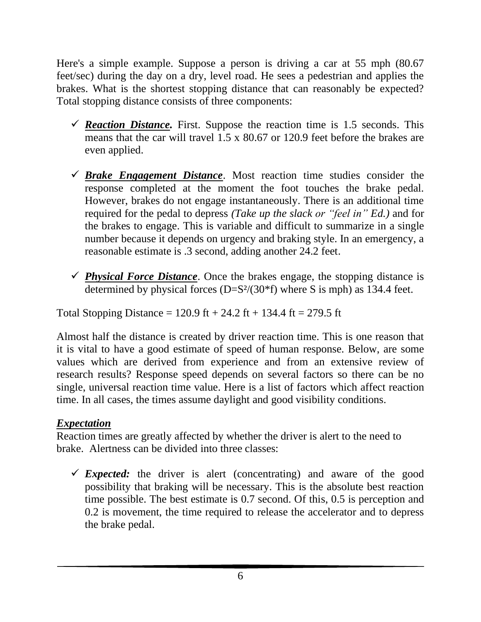Here's a simple example. Suppose a person is driving a car at 55 mph (80.67 feet/sec) during the day on a dry, level road. He sees a pedestrian and applies the brakes. What is the shortest stopping distance that can reasonably be expected? Total stopping distance consists of three components:

- $\checkmark$  **Reaction Distance.** First. Suppose the reaction time is 1.5 seconds. This means that the car will travel 1.5 x 80.67 or 120.9 feet before the brakes are even applied.
- $\checkmark$  **Brake Engagement Distance**. Most reaction time studies consider the response completed at the moment the foot touches the brake pedal. However, brakes do not engage instantaneously. There is an additional time required for the pedal to depress *(Take up the slack or "feel in" Ed.)* and for the brakes to engage. This is variable and difficult to summarize in a single number because it depends on urgency and braking style. In an emergency, a reasonable estimate is .3 second, adding another 24.2 feet.
- $\checkmark$  *Physical Force Distance*. Once the brakes engage, the stopping distance is determined by physical forces  $(D=S<sup>2</sup>/(30*f)$  where S is mph) as 134.4 feet.

Total Stopping Distance =  $120.9$  ft +  $24.2$  ft +  $134.4$  ft =  $279.5$  ft

Almost half the distance is created by driver reaction time. This is one reason that it is vital to have a good estimate of speed of human response. Below, are some values which are derived from experience and from an extensive review of research results? Response speed depends on several factors so there can be no single, universal reaction time value. Here is a list of factors which affect reaction time. In all cases, the times assume daylight and good visibility conditions.

# *Expectation*

Reaction times are greatly affected by whether the driver is alert to the need to brake. Alertness can be divided into three classes:

 $\checkmark$  *Expected:* the driver is alert (concentrating) and aware of the good possibility that braking will be necessary. This is the absolute best reaction time possible. The best estimate is 0.7 second. Of this, 0.5 is perception and 0.2 is movement, the time required to release the accelerator and to depress the brake pedal.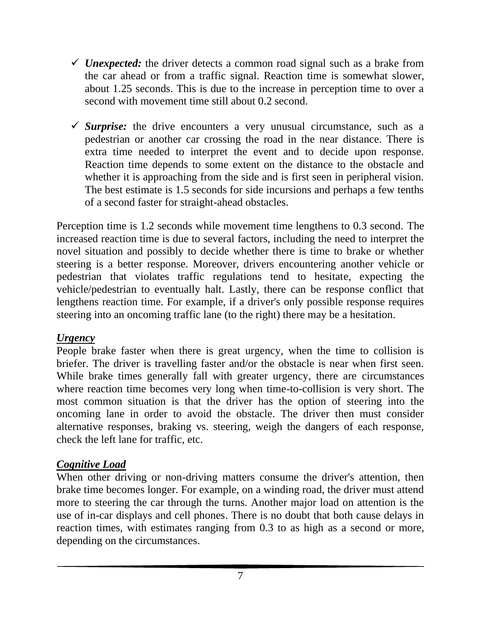- $\checkmark$  *Unexpected:* the driver detects a common road signal such as a brake from the car ahead or from a traffic signal. Reaction time is somewhat slower, about 1.25 seconds. This is due to the increase in perception time to over a second with movement time still about 0.2 second.
- $\checkmark$  *Surprise:* the drive encounters a very unusual circumstance, such as a pedestrian or another car crossing the road in the near distance. There is extra time needed to interpret the event and to decide upon response. Reaction time depends to some extent on the distance to the obstacle and whether it is approaching from the side and is first seen in peripheral vision. The best estimate is 1.5 seconds for side incursions and perhaps a few tenths of a second faster for straight-ahead obstacles.

Perception time is 1.2 seconds while movement time lengthens to 0.3 second. The increased reaction time is due to several factors, including the need to interpret the novel situation and possibly to decide whether there is time to brake or whether steering is a better response. Moreover, drivers encountering another vehicle or pedestrian that violates traffic regulations tend to hesitate, expecting the vehicle/pedestrian to eventually halt. Lastly, there can be response conflict that lengthens reaction time. For example, if a driver's only possible response requires steering into an oncoming traffic lane (to the right) there may be a hesitation.

# *Urgency*

People brake faster when there is great urgency, when the time to collision is briefer. The driver is travelling faster and/or the obstacle is near when first seen. While brake times generally fall with greater urgency, there are circumstances where reaction time becomes very long when time-to-collision is very short. The most common situation is that the driver has the option of steering into the oncoming lane in order to avoid the obstacle. The driver then must consider alternative responses, braking vs. steering, weigh the dangers of each response, check the left lane for traffic, etc.

# *Cognitive Load*

When other driving or non-driving matters consume the driver's attention, then brake time becomes longer. For example, on a winding road, the driver must attend more to steering the car through the turns. Another major load on attention is the use of in-car displays and cell phones. There is no doubt that both cause delays in reaction times, with estimates ranging from 0.3 to as high as a second or more, depending on the circumstances.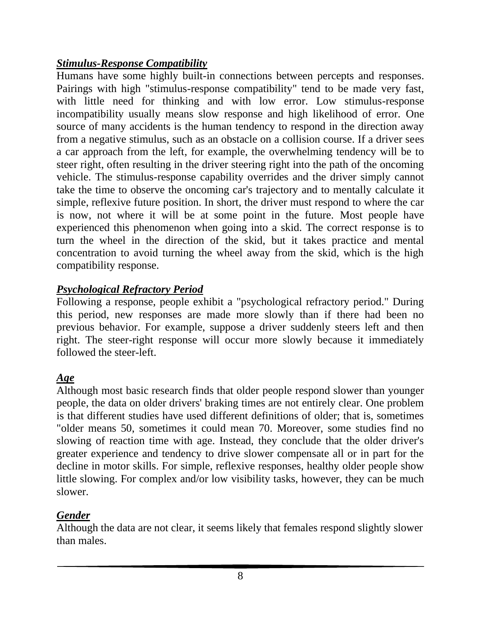# *Stimulus-Response Compatibility*

Humans have some highly built-in connections between percepts and responses. Pairings with high "stimulus-response compatibility" tend to be made very fast, with little need for thinking and with low error. Low stimulus-response incompatibility usually means slow response and high likelihood of error. One source of many accidents is the human tendency to respond in the direction away from a negative stimulus, such as an obstacle on a collision course. If a driver sees a car approach from the left, for example, the overwhelming tendency will be to steer right, often resulting in the driver steering right into the path of the oncoming vehicle. The stimulus-response capability overrides and the driver simply cannot take the time to observe the oncoming car's trajectory and to mentally calculate it simple, reflexive future position. In short, the driver must respond to where the car is now, not where it will be at some point in the future. Most people have experienced this phenomenon when going into a skid. The correct response is to turn the wheel in the direction of the skid, but it takes practice and mental concentration to avoid turning the wheel away from the skid, which is the high compatibility response.

# *Psychological Refractory Period*

Following a response, people exhibit a "psychological refractory period." During this period, new responses are made more slowly than if there had been no previous behavior. For example, suppose a driver suddenly steers left and then right. The steer-right response will occur more slowly because it immediately followed the steer-left.

# *Age*

Although most basic research finds that older people respond slower than younger people, the data on older drivers' braking times are not entirely clear. One problem is that different studies have used different definitions of older; that is, sometimes "older means 50, sometimes it could mean 70. Moreover, some studies find no slowing of reaction time with age. Instead, they conclude that the older driver's greater experience and tendency to drive slower compensate all or in part for the decline in motor skills. For simple, reflexive responses, healthy older people show little slowing. For complex and/or low visibility tasks, however, they can be much slower.

# *Gender*

Although the data are not clear, it seems likely that females respond slightly slower than males.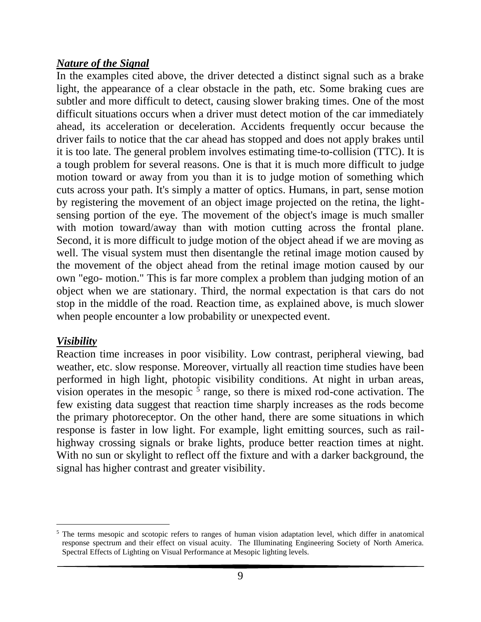### *Nature of the Signal*

In the examples cited above, the driver detected a distinct signal such as a brake light, the appearance of a clear obstacle in the path, etc. Some braking cues are subtler and more difficult to detect, causing slower braking times. One of the most difficult situations occurs when a driver must detect motion of the car immediately ahead, its acceleration or deceleration. Accidents frequently occur because the driver fails to notice that the car ahead has stopped and does not apply brakes until it is too late. The general problem involves estimating [time-to-collision \(TTC\).](https://www.visualexpert.com/Resources/rearendcollision.html) It is a tough problem for several reasons. One is that it is much more difficult to judge motion toward or away from you than it is to judge motion of something which cuts across your path. It's simply a matter of optics. Humans, in part, sense motion by registering the movement of an object image projected on the retina, the lightsensing portion of the eye. The movement of the object's image is much smaller with motion toward/away than with motion cutting across the frontal plane. Second, it is more difficult to judge motion of the object ahead if we are moving as well. The visual system must then disentangle the retinal image motion caused by the movement of the object ahead from the retinal image motion caused by our own "ego- motion." This is far more complex a problem than judging motion of an object when we are stationary. Third, the normal expectation is that cars do not stop in the middle of the road. Reaction time, as explained above, is much slower when people encounter a low probability or unexpected event.

# *Visibility*

Reaction time increases in poor visibility. Low contrast, peripheral viewing, bad weather, etc. slow response. Moreover, virtually all reaction time studies have been performed in high light, photopic visibility conditions. At night in urban areas, vision operates in the mesopic  $5$  range, so there is mixed rod-cone activation. The few existing data suggest that reaction time sharply increases as the rods become the primary photoreceptor. On the other hand, there are some situations in which response is faster in low light. For example, light emitting sources, such as railhighway crossing signals or brake lights, produce better reaction times at night. With no sun or skylight to reflect off the fixture and with a darker background, the signal has higher contrast and greater visibility.

<sup>&</sup>lt;sup>5</sup> The terms mesopic and scotopic refers to ranges of human vision adaptation level, which differ in anatomical response spectrum and their effect on visual acuity. The Illuminating Engineering Society of North America. Spectral Effects of Lighting on Visual Performance at Mesopic lighting levels.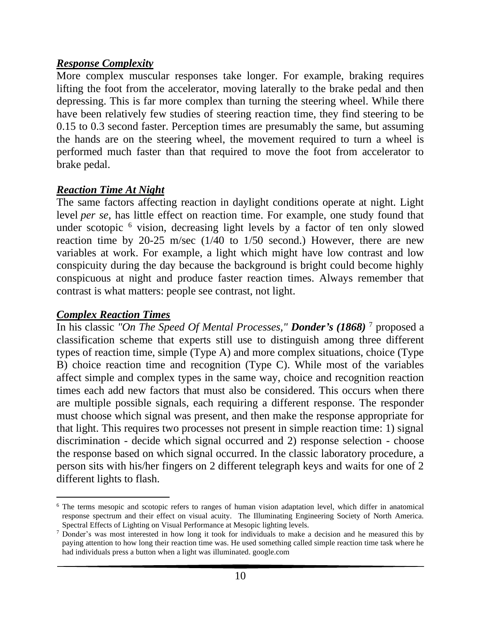# *Response Complexity*

More complex muscular responses take longer. For example, braking requires lifting the foot from the accelerator, moving laterally to the brake pedal and then depressing. This is far more complex than turning the steering wheel. While there have been relatively few studies of steering reaction time, they find steering to be 0.15 to 0.3 second faster. Perception times are presumably the same, but assuming the hands are on the steering wheel, the movement required to turn a wheel is performed much faster than that required to move the foot from accelerator to brake pedal.

# *Reaction Time At Night*

The same factors affecting reaction in daylight conditions operate at night. Light level *per se*, has little effect on reaction time. For example, one study found that under scotopic  $6$  vision, decreasing light levels by a factor of ten only slowed reaction time by 20-25 m/sec (1/40 to 1/50 second.) However, there are new variables at work. For example, a light which might have low contrast and low conspicuity during the day because the background is bright could become highly conspicuous at night and produce faster reaction times. Always remember that contrast is what matters: people see contrast, not light.

### *Complex Reaction Times*

In his classic *"On The Speed Of Mental Processes," Donder's (1868)* <sup>7</sup> proposed a classification scheme that experts still use to distinguish among three different types of reaction time, simple (Type A) and more complex situations, choice (Type B) choice reaction time and recognition (Type C). While most of the variables affect simple and complex types in the same way, choice and recognition reaction times each add new factors that must also be considered. This occurs when there are multiple possible signals, each requiring a different response. The responder must choose which signal was present, and then make the response appropriate for that light. This requires two processes not present in simple reaction time: 1) signal discrimination - decide which signal occurred and 2) response selection - choose the response based on which signal occurred. In the classic laboratory procedure, a person sits with his/her fingers on 2 different telegraph keys and waits for one of 2 different lights to flash.

<sup>6</sup> The terms mesopic and scotopic refers to ranges of human vision adaptation level, which differ in anatomical response spectrum and their effect on visual acuity. The Illuminating Engineering Society of North America. Spectral Effects of Lighting on Visual Performance at Mesopic lighting levels.

<sup>&</sup>lt;sup>7</sup> Donder's was most interested in how long it took for individuals to make a decision and he measured this by paying attention to how long their reaction time was. He used something called simple reaction time task where he had individuals press a button when a light was illuminated. google.com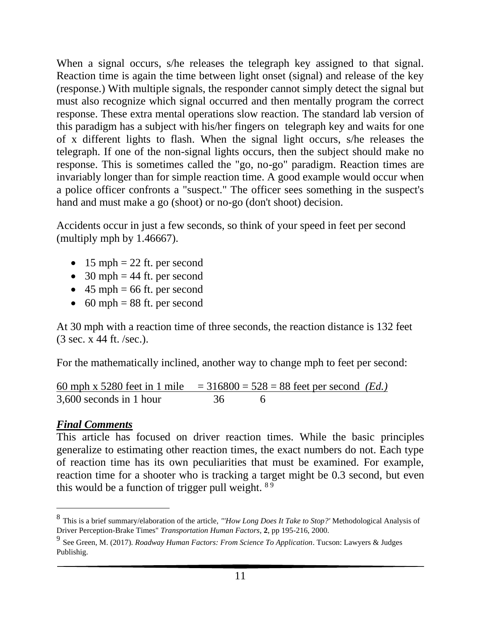When a signal occurs, s/he releases the telegraph key assigned to that signal. Reaction time is again the time between light onset (signal) and release of the key (response.) With multiple signals, the responder cannot simply detect the signal but must also recognize which signal occurred and then mentally program the correct response. These extra mental operations slow reaction. The standard lab version of this paradigm has a subject with his/her fingers on telegraph key and waits for one of x different lights to flash. When the signal light occurs, s/he releases the telegraph. If one of the non-signal lights occurs, then the subject should make no response. This is sometimes called the "go, no-go" paradigm. Reaction times are invariably longer than for simple reaction time. A good example would occur when a police officer confronts a "suspect." The officer sees something in the suspect's hand and must make a go (shoot) or no-go (don't shoot) decision.

Accidents occur in just a few seconds, so think of your speed in feet per second (multiply mph by 1.46667).

- 15 mph  $= 22$  ft. per second
- 30 mph  $=$  44 ft. per second
- $45 \text{ mph} = 66 \text{ ft.}$  per second
- 60 mph  $= 88$  ft. per second

At 30 mph with a reaction time of three seconds, the reaction distance is 132 feet (3 sec. x 44 ft. /sec.).

For the mathematically inclined, another way to change mph to feet per second:

60 mph x 5280 feet in 1 mile  $= 316800 = 528 = 88$  feet per second *(Ed.)*  $3.600$  seconds in 1 hour  $36$  6

# *Final Comments*

This article has focused on driver reaction times. While the basic principles generalize to estimating other reaction times, the exact numbers do not. Each type of reaction time has its own peculiarities that must be examined. For example, reaction time for a shooter who is tracking a target might be 0.3 second, but even this would be a function of trigger pull weight.  $89$ 

<sup>8</sup> This is a brief summary/elaboration of the article, *"'How Long Does It Take to Stop?'* Methodological Analysis of Driver Perception-Brake Times" *Transportation Human Factors*, **2**, pp 195-216, 2000.

<sup>9</sup> See Green, M. (2017). *Roadway Human Factors: From Science To Application*. Tucson: Lawyers & Judges Publishig.